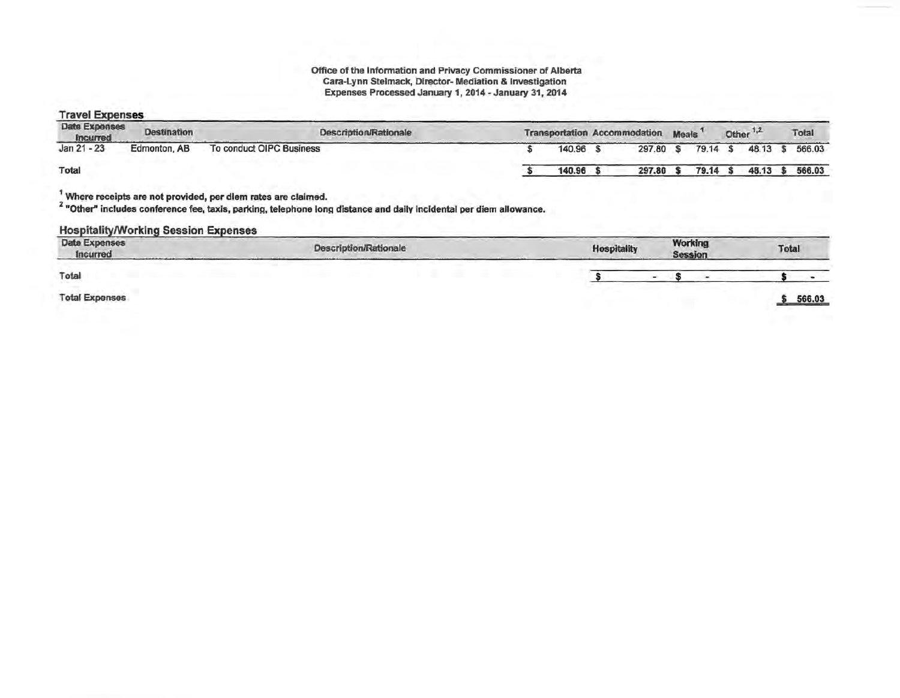# Office of the Information and Privacy Commissioner of Alberta<br>Cara-Lynn Stelmack, Director-Mediation & Investigation<br>Expenses Processed January 1, 2014 - January 31, 2014

#### **Travel Expenses**

| Date Expenses<br>Incurred | <b>Destination</b> | <b>Description/Rationale</b> |           | Transportation Accommodation Meals <sup>1</sup> |          | Other <sup>1,2</sup> | Total  |
|---------------------------|--------------------|------------------------------|-----------|-------------------------------------------------|----------|----------------------|--------|
| $Jan 21 - 23$             | Edmonton, AB       | To conduct OIPC Business     | 140.96 \$ | 297.80                                          | 79.14 \$ | 48.13                | 566.03 |
| Total                     |                    |                              | 140.96    | 297.80                                          | 79.14    | 48.13                | 566.03 |
|                           |                    |                              |           |                                                 |          |                      |        |

Where receipts are not provided, per dlem rates are claimed.

2 "Other" includes conference fee, taxis, parking, telephone long distance and daily incidental per diem allowance.

#### **Hospitality/Working Session Expenses**

| <b>Date Expenses</b><br>Incurred | <b>Description/Rationale</b> | <b>Hospitality</b> | <b>Working</b><br>Session | Total  |
|----------------------------------|------------------------------|--------------------|---------------------------|--------|
| Total                            |                              |                    |                           |        |
| <b>Total Expenses</b>            |                              |                    |                           | 566.03 |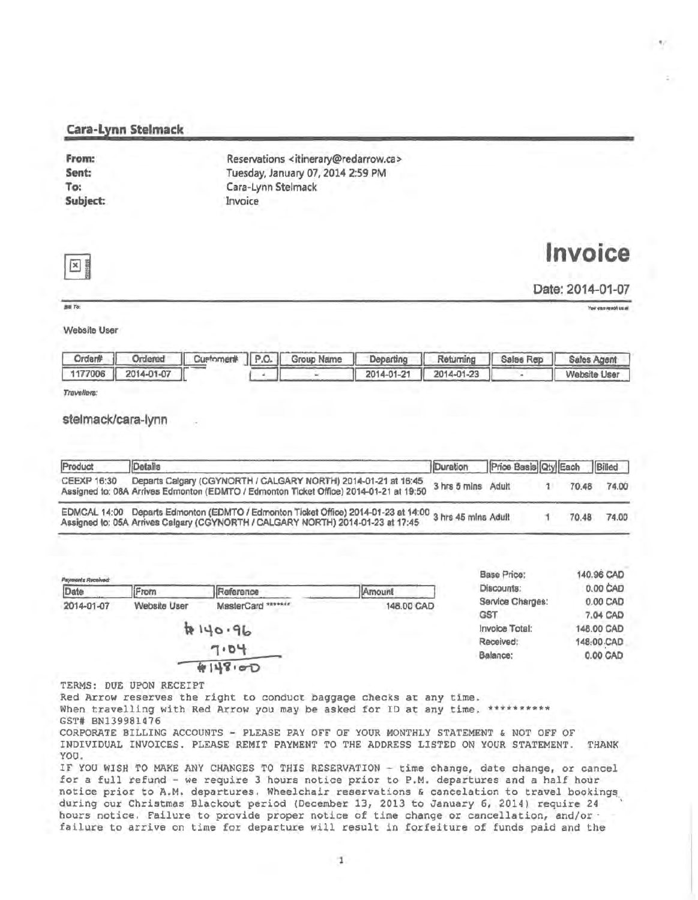#### Cara-Lynn Stelmack

| From:    | Reservations <itinerary@redarrow.ca></itinerary@redarrow.ca> |  |
|----------|--------------------------------------------------------------|--|
| Sent:    | Tuesday, January 07, 2014 2:59 PM                            |  |
| To:      | Cara-Lynn Stelmack                                           |  |
| Subject: | Invoice                                                      |  |

# **Invoice**



Date: 2014-01-07

*•To:* 

You can reach us at

..

Website User

|                    |  | Order#   Ordered   Customen#   P.O.   Group Name   Departing   Returning   Sales Rep   Sales Agent |                       |              |
|--------------------|--|----------------------------------------------------------------------------------------------------|-----------------------|--------------|
| 1177006 2014-01-07 |  |                                                                                                    | 2014-01-21 2014-01-23 | Website User |

Travellers:

#### stelmack/cara~lynn

| Product     | Details                                                                                                                                                                                   | Duration Price Basis Qty Each Billed |  |       |       |
|-------------|-------------------------------------------------------------------------------------------------------------------------------------------------------------------------------------------|--------------------------------------|--|-------|-------|
| CEEXP 16:30 | Departs Calgary (CGYNORTH / CALGARY NORTH) 2014-01-21 at 16:45<br>Assigned to: 08A Arrives Edmonton (EDMTO / Edmonton Ticket Office) 2014-01-21 at 19:50                                  | 3 hrs 5 mins Adult                   |  | 70.48 | 74.00 |
|             | EDMCAL 14:00 Departs Edmonton (EDMTO / Edmonton Ticket Office) 2014-01-23 at 14:00 3 hrs 45 mins Adult<br>Assigned to: 05A Arrives Calgary (CGYNORTH / CALGARY NORTH) 2014-01-23 at 17:45 |                                      |  | 70.48 | 74.00 |

| Payments Received: | From                | Reference          | Amount     | <b>Base Price:</b><br>Discounts: | 140.96 CAD<br>0.00 CAD |
|--------------------|---------------------|--------------------|------------|----------------------------------|------------------------|
| Date<br>2014-01-07 | <b>Website User</b> | MasterCard ******* | 148.00 CAD | Service Charges:                 | 0.00 CAD               |
|                    |                     |                    |            | <b>GST</b>                       | 7.04 CAD               |
|                    |                     | $96.96 + 96$       |            | Invoice Total:                   | 148.00 CAD             |
|                    |                     |                    |            | Received:                        | 148:00 CAD             |
|                    |                     | 7.04               |            | Balance:                         | 0.00 CAD               |
|                    |                     | 4148.00            |            |                                  |                        |

TERMS: DUE UPON RECEIPT

Red Arrow reserves the right to conduct baggage checks at any time.

When travelling with Red Arrow you may be asked for ID at any time. \*\*\*\*\*\*\*\*\*\*\* GST# BN139981476

CORPORATE BILLING ACCOUNTS - PLEASE PAY OFF OF YOUR MONTHLY STATEMENT & NOT OFF OF INDIVIDUAL INVOICES. PLEASE REMIT PAYMENT TO THE ADDRESS LISTED ON YOUR STATEMENT. THANK YOU.

IF YOU WISH TO MAKE ANY CHANGES TO THIS RESERVATION - time change, date change, or cancel for a full refund - we require 3 hours notice prior to P.M. departures and a half hour notice prior to A.M. departures. Wheelchair reservations & cancelation to travel bookings during our Christmas Blackout period (December 13, 2013 to January 6, 2014) require 24 hours notice. Failure to provide proper notice of time change or cancellation, and/or· failure to arrive on time for departure will result in forfeiture of funds paid and the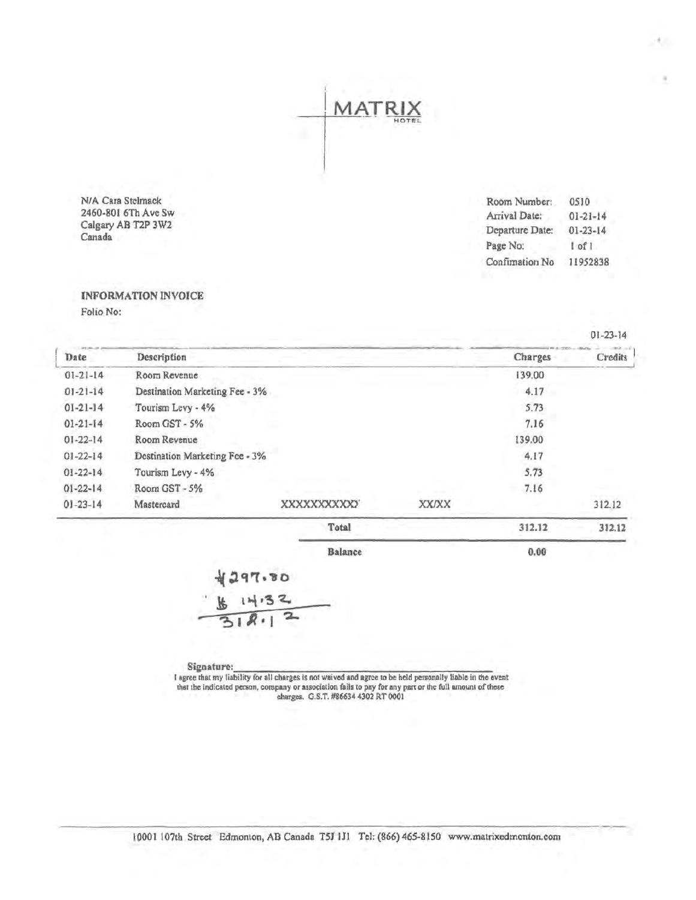NIA Cara Stelmack 2460-801 6Th Ave Sw Calgary AB T2P 3W2 Canada

Room Number: Arrival Date: Departure Date: Page No: Confimation No 0510 01-21-14 01-23-14 I of 1 11952838

0.00

#### INFORMATION INVOICE Folio No:

Date Description Charges Credits Charges Credits  $\frac{\text{Date}}{01-21-14}$ 01-21-14 01-21-14 01-21-14 01-22-14 01-22-14 01-22-14 01-22-14 01-23-14 Charges Credits Room Revenue Destination Marketing Fee • 3% Tourism Lcvy-4% RoomGST-5% Room Revenue Destination Marketing Fee • 3% Tourism Levy - 4% RoomGST-5% Mastercard xxxxxxxxxxr XX/XX Total 139.00 4.17 S.73 7.16 139.00 4.17 5.73 7.16 312.12 312.12 312.12

MA.

Balance

 $297.80$ 

Signature: \_\_\_\_\_\_\_\_\_\_\_\_\_\_\_\_\_\_\_\_ \_

I agree that my liability for all charges is not waived and agree to be held personally liable in the event that the indicated person, company or association fails to pay for any part or the full amount of these charges. O.S.T. #86634 4302 RT 0001

01-23-14

H.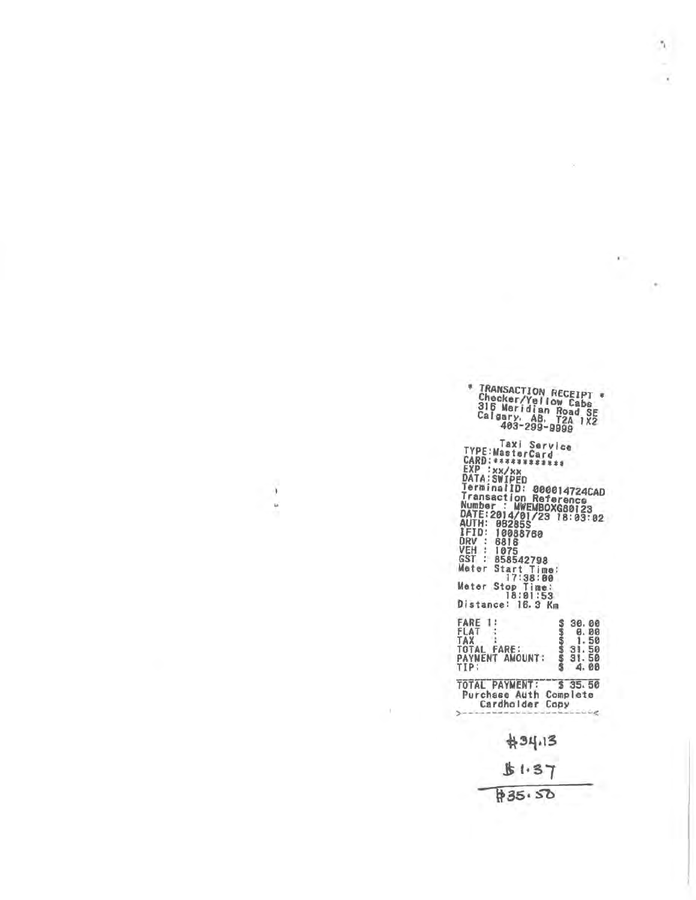| * TRANSACTION RECEIPT *<br>Checker/Yellow Cabs<br>316 Meridian Road SE<br>Calgary, AB, T2A 1X2<br>403-299-9999                                                                                                                                                                                                                                                                   |                                                             |
|----------------------------------------------------------------------------------------------------------------------------------------------------------------------------------------------------------------------------------------------------------------------------------------------------------------------------------------------------------------------------------|-------------------------------------------------------------|
| Taxi Service<br>TYPE:MasterCard<br>CARD:************<br>EXP<br>:xx/xx<br>DATA: SWIPED<br>TerminalID: 000014724CAD<br>Transaction Reference<br>Number : MWEMBOXG80123<br>DATE:2014/01/23 18:03:02<br>AUTH: 08285S<br>IFID:<br>10088760<br>DRV :<br>6816<br>VEH<br>: 1075<br>GST : 858542798<br>Meter Start Time:<br>17:38:00<br>Meter Stop Time:<br>18:01:53<br>Distance: 16.3 Km |                                                             |
| FARE 1<br>FLAT<br>TAX<br>TOTAL FARE:<br>PAYMENT AMOUNT:<br>TIP:                                                                                                                                                                                                                                                                                                                  | 30.00<br>0.00<br>1.50<br>31.<br>50<br>31.<br>50<br>Δ.<br>00 |
| TOTAL PAYMENT!<br>Purchase Auth Complete<br>Cardholder Copy                                                                                                                                                                                                                                                                                                                      | \$35.50                                                     |
| #34.13                                                                                                                                                                                                                                                                                                                                                                           |                                                             |
| 51.37                                                                                                                                                                                                                                                                                                                                                                            |                                                             |
| \$35.50                                                                                                                                                                                                                                                                                                                                                                          |                                                             |

ñ,

 $\rightarrow$ 

ż

j.

 $\frac{1}{2}$ 

T)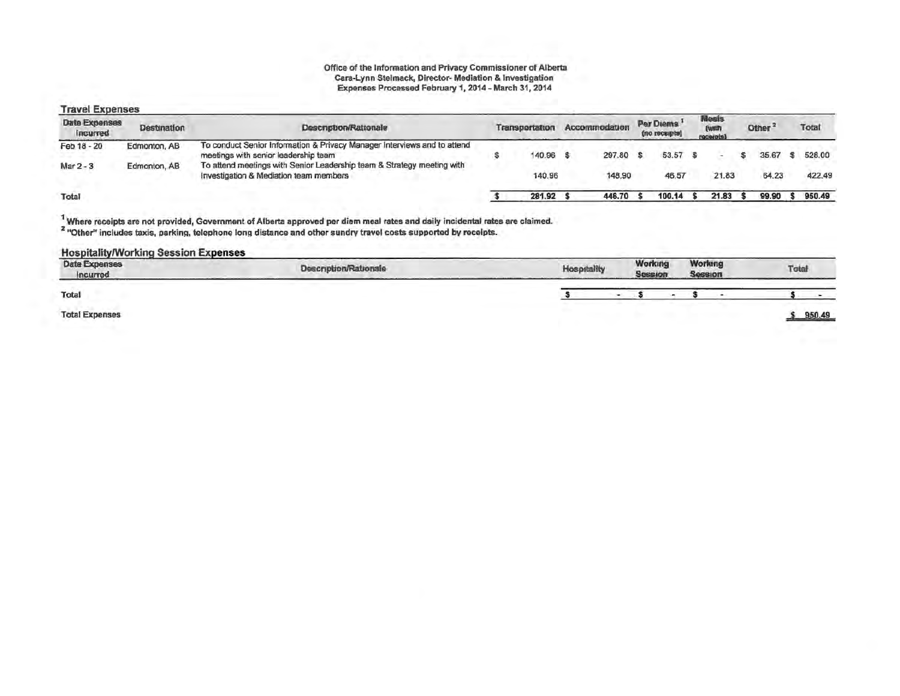### Office of the Information and Privacy Commissioner of Alberta<br>Cara-Lynn Stelmack, Director-Mediation & Investigation Expenses Processed February 1, 2014 - March 31, 2014

#### **Travel Expenses**

| <b>Date Expenses</b><br><b>Incurred</b> | <b>Destination</b> | <b>Description/Rationale</b>                                                                                     | Transportation | Accommodation | <b>Par Diems</b><br>(no receipts) | <b>Meats</b><br>[WINT<br>receipts) | Other <sup>3</sup> | Total  |
|-----------------------------------------|--------------------|------------------------------------------------------------------------------------------------------------------|----------------|---------------|-----------------------------------|------------------------------------|--------------------|--------|
| Feb 18 - 20                             | Edmonton, AB       | To conduct Senior Information & Privacy Manager Interviews and to attend<br>meetings with senior leadership team | 140.96         | 297.80        | 53.57                             |                                    | 35.67              | 528.00 |
| Mar 2 - 3                               | Edmonton, AB       | To attend meetings with Senior Leadership team & Strategy meeting with<br>Investigation & Mediation team members | 140.96         | 148.90        | 46.57                             | 21.83                              | 64.23              | 422.49 |
| Total                                   |                    |                                                                                                                  | 281.92         | 446.70        | 100.14                            | 21.83                              | 99.90              | 950.49 |

<sup>1</sup> Where receipts are not provided, Government of Alberta approved per diem meal rates and daily incidental rates are claimed.<br><sup>2</sup> "Other" includes taxis, parking, telephone long distance and other sundry travel costs su

#### **Hospitality/Working Session Expenses**

| Description/Rationale | <b>Hospitality</b>           |  |                    | Total                     |
|-----------------------|------------------------------|--|--------------------|---------------------------|
|                       |                              |  |                    |                           |
|                       |                              |  |                    | 950.49                    |
|                       | <b>CONTRACTOR</b> CONTRACTOR |  | Working<br>Session | Working<br><b>Session</b> |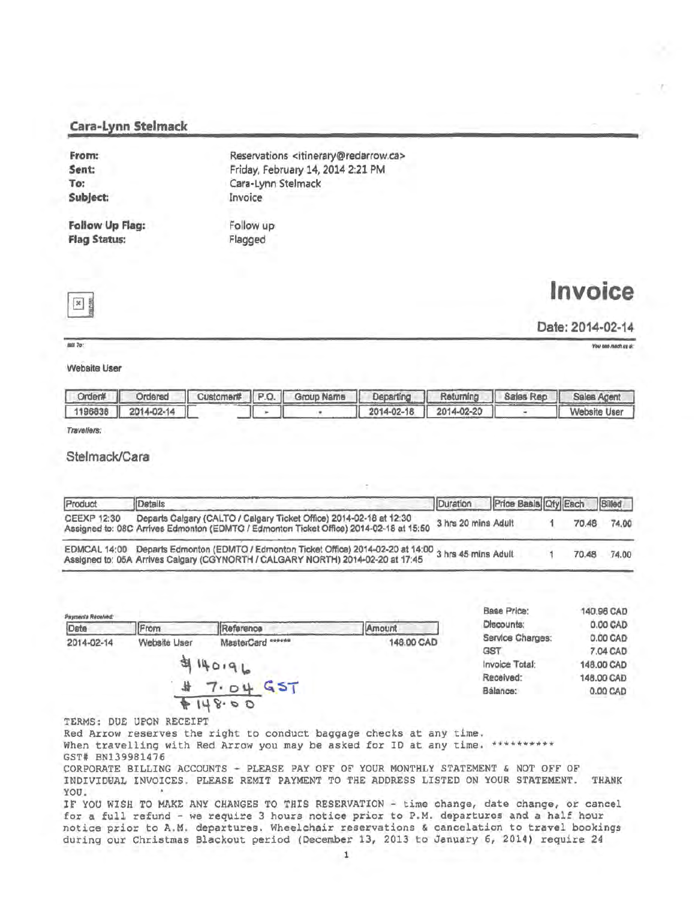#### Cara-Lynn Stelmack

| From:           | Reservations <itinerary@redarrow.ca></itinerary@redarrow.ca> |
|-----------------|--------------------------------------------------------------|
| Sent:           | Friday, February 14, 2014 2:21 PM                            |
| To:             | Cara-Lynn Stelmack                                           |
| Subject:        | Invoice                                                      |
|                 |                                                              |
| Follow Up Flag: | Follow up                                                    |
| Flag Status:    | Flagged                                                      |
|                 |                                                              |

 $\mathbf{x}$ 

 $\frac{1}{2}$ 

Invoice

Date: 2014-02-14

You one mech us al:

#### Website Liser

|                    |  | Order#   Ordersd   Customer# P.O.   Group Name   Departing   Returning   Sales Rep   Sales Agent |                                                                               |              |
|--------------------|--|--------------------------------------------------------------------------------------------------|-------------------------------------------------------------------------------|--------------|
| 1196838 2014-02-14 |  |                                                                                                  | $\begin{array}{ c c c c c c c c } \hline & 2014-02-20 & & \hline \end{array}$ | Website User |

Travellers:

#### Stelmack/Cara

| Product      | Details                                                                                                                                                                      | Duration            | Price Basis Oty Each Billed |       |       |
|--------------|------------------------------------------------------------------------------------------------------------------------------------------------------------------------------|---------------------|-----------------------------|-------|-------|
| CEEXP 12:30  | Departs Calgary (CALTO / Calgary Ticket Office) 2014-02-18 at 12:30<br>Assigned to: 08C Arrives Edmonton (EDMTO / Edmonton Ticket Office) 2014-02-18 at 15:50                | 3 hrs 20 mins Adult |                             | 70.48 | 74.00 |
| EDMCAL 14:00 | Departs Edmonton (EDMTO / Edmonton Ticket Office) 2014-02-20 at 14:00 3 hrs 45 mins Adult<br>Assigned to: 05A Arrives Calgary (CGYNORTH / CALGARY NORTH) 2014-02-20 at 17:45 |                     |                             | 70.48 | 74.00 |

| Payments Received:<br>Date | From         | Reference                                             | Amount     | Base Price:<br>Discounts:                                                   |
|----------------------------|--------------|-------------------------------------------------------|------------|-----------------------------------------------------------------------------|
| 2014-02-14                 | Website User | MasterCard ******<br>4140196<br>GST<br>7.04<br>148.00 | 148.00 CAD | Service Char<br><b>GST</b><br><b>Invoice Total</b><br>Received:<br>Bálance: |

| Base Price:      | 140,96 CAD |
|------------------|------------|
| Discounts:       | 0.00 CAD   |
| Service Charges: | 0.00 CAD   |
| GST              | 7.04 CAD   |
| Invoice Total:   | 148.00 CAD |
| Received:        | 148.00 CAD |
| Balance:         | 0.00 CAD   |

TERMS: DUE UPON RECEIPT

Red Arrow reserves the right to conduct baggage checks at any time. When travelling with Red Arrow you may be asked for ID at any time. \*\*\*\*\*\*\*\*\*\* GST# BN139981476

CORPORATE BILLING ACCOUNTS - PLEASE PAY OFF OF YOUR MONTHLY STATEMENT & NOT OFF OF INDIVIDUAL INVOICES. PLEASE REMIT PAYMENT TO THE ADDRESS LISTED ON YOUR STATEMENT. THANK YOU.

IF YOU WISH TO MAKE ANY CHANGES TO THIS RESERVATION - time change, date change, or cancel for a full refund - we require 3 hours notice prior to P.M. departures and a half hour notice prior to A.M. departures. Wheelchair reservations & cancelation to travel bookings during our Christmas Blackout period (December 13, 2013 to January 6, 2014) require 24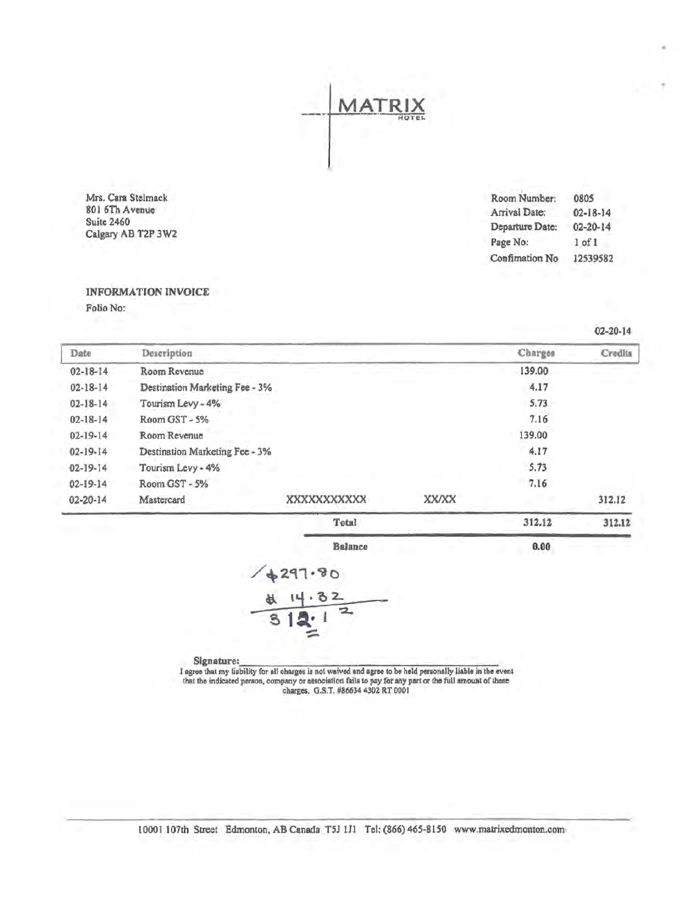

Mrs. Cara Stelmack 801 6Th Avenue Suite 2460 Calgary AB T2P 3W2

| 0805           |
|----------------|
| $02 - 18 - 14$ |
| $02 - 20 - 14$ |
| $1$ of $1$     |
| 12539582       |
|                |

 $0.00$ 

### **INFORMATION INVOICE**

Folio No:

Charges Date Description Credits 139.00  $02 - 18 - 14$ Room Revenue  $02 - 18 - 14$ Destination Marketing Fee - 3% 4.17  $02 - 18 - 14$ Tourism Levy - 4% 5.73 Room GST - 5%  $7.16$  $02 - 18 - 14$ 139.00  $02 - 19 - 14$ Room Revenue 4.17  $02 - 19 - 14$ Destination Marketing Fee - 3%  $02 - 19 - 14$ Tourism Levy - 4%  $5.73$  $02 - 19 - 14$ Room GST - 5% 7.16 02-20-14 Mastercard XXXXXXXXXX XX/XX 312.12 Total 312.12 312.12

**Balance** 

Signature:

I agree that my liability for all charges is not waived and agree to be held personally liable in the event that the indicated person, company or association fails to pay for any part or the full amount of these charges, G.S.T. #86634 4302 RT 0001

 $02 - 20 - 14$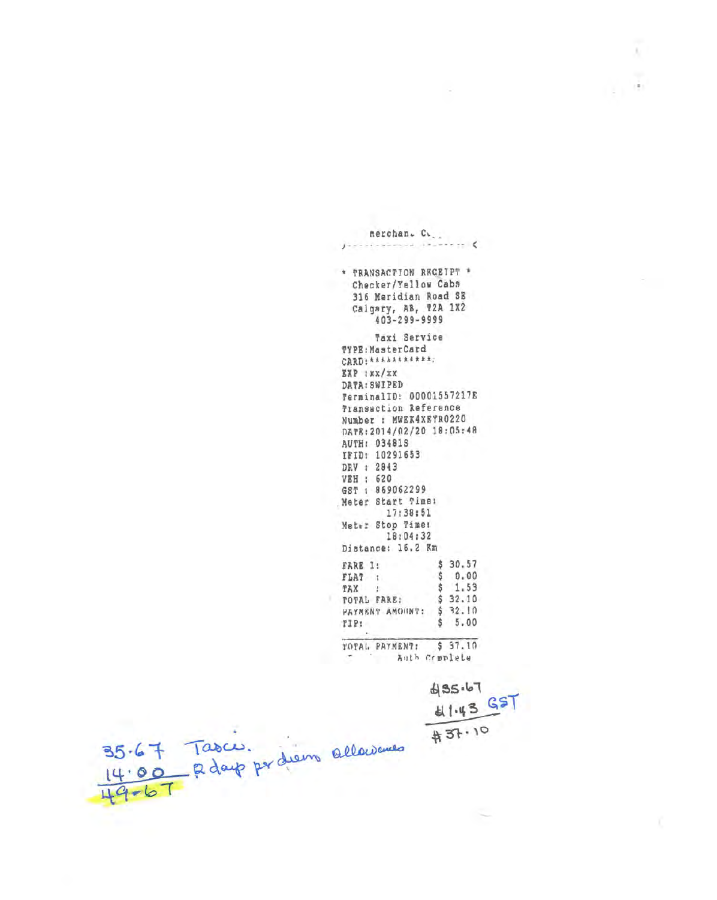|                                  | merchan. C.                                                                                                                                                                                                                                                                                                                                                             |
|----------------------------------|-------------------------------------------------------------------------------------------------------------------------------------------------------------------------------------------------------------------------------------------------------------------------------------------------------------------------------------------------------------------------|
|                                  | $ \epsilon$                                                                                                                                                                                                                                                                                                                                                             |
|                                  | * TRANSACTION RECEIPT *<br>Checker/Yellow Cabs<br>316 Meridian Road SE<br>Calgary, AB, T2A 1X2<br>$403 - 299 - 9999$                                                                                                                                                                                                                                                    |
|                                  | Taxi Service<br>TYPE: MasterCard<br>CARD: ***********;<br>EXP : XX/XX<br>DATA: SWIPED<br>TerminalID: 00001557217E<br>Transaction Reference<br>Number : MWEK4XEYR0220<br>DATE: 2014/02/20 18:05:48<br>AUTH: 03481S<br>IFID: 10291653<br>DRV : 2843<br>VEH : 620<br>GST : 869062299<br>Neter Start Times<br>17:38:51<br>Meter Stop Time:<br>18:04:32<br>Distance: 16.2 Km |
|                                  | \$30.57<br>FARE 1:<br>\$0.00<br>$FLAT$ :<br>\$1.53<br>TAX :<br>\$32.10<br>TOTAL FARE:<br>\$32.10<br>PAYMENT AMOUNT:<br>o.<br>5.00<br>s.<br>TIP:                                                                                                                                                                                                                         |
|                                  | \$37.10<br>TOTAL PAYMENT:<br>Auth Crmplete                                                                                                                                                                                                                                                                                                                              |
|                                  |                                                                                                                                                                                                                                                                                                                                                                         |
|                                  | 85.67                                                                                                                                                                                                                                                                                                                                                                   |
|                                  | 41.43 GST                                                                                                                                                                                                                                                                                                                                                               |
|                                  | #37.10                                                                                                                                                                                                                                                                                                                                                                  |
| 14:00 R days par diens alloweres |                                                                                                                                                                                                                                                                                                                                                                         |
|                                  |                                                                                                                                                                                                                                                                                                                                                                         |
| $49 - 67$                        |                                                                                                                                                                                                                                                                                                                                                                         |
|                                  |                                                                                                                                                                                                                                                                                                                                                                         |

 $\chi$ 

 $\frac{\tilde{\lambda}}{(\tilde{k})}$ 

÷

 $\bar{\gamma}$ 

S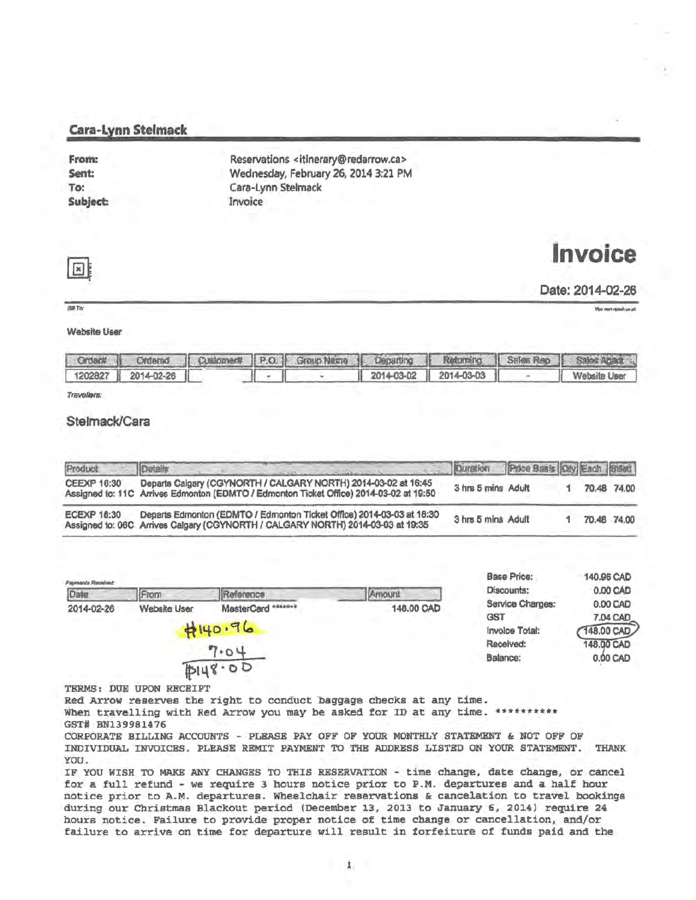#### Cara-Lynn Stelmack

| From:    | Reservations <itinerary@redarrow.ca></itinerary@redarrow.ca> |  |
|----------|--------------------------------------------------------------|--|
| Sent:    | Wednesday, February 26, 2014 3:21 PM                         |  |
| To:      | Cara-Lynn Stelmack                                           |  |
| Subject: | Invoice                                                      |  |

# **Invoice**



#### Date: 2014-02-26

 $AB$ To

You can relative un at:

#### Wabsite User

|                    |  |  |                         | Order#   Ordered   Customent   P.O.   Group Name   Departing   Neturning   Sales Rep   Sales Against |
|--------------------|--|--|-------------------------|------------------------------------------------------------------------------------------------------|
| 1202827 2014-02-26 |  |  | $2014-03-02$ 2014-03-03 | Website User                                                                                         |

Travellers:

#### Stelmack/Cara

| Product            | Details                                                                                                                                                  | Duration Price Basis Ory Each Britain |  |             |
|--------------------|----------------------------------------------------------------------------------------------------------------------------------------------------------|---------------------------------------|--|-------------|
| <b>CEEXP 16:30</b> | Departs Calgary (CGYNORTH / CALGARY NORTH) 2014-03-02 at 16:45<br>Assigned to: 11C Arrives Edmonton (EDMTO / Edmonton Ticket Office) 2014-03-02 at 19:50 | 3 hrs 5 mins Adult                    |  | 70.48 74.00 |
| <b>ECEXP 16:30</b> | Departs Edmonton (EDMTO / Edmonton Ticket Office) 2014-03-03 at 16:30<br>Assigned to: 06C Arrives Calgary (CGYNORTH / CALGARY NORTH) 2014-03-03 at 19:35 | 3 hrs 5 mins Adult                    |  | 70.48 74.00 |

| <b>Fayments Repelved:</b> |              | Base Price:        | 140.96 CAD     |                  |          |
|---------------------------|--------------|--------------------|----------------|------------------|----------|
| Date                      | From         | Reference          | Amount         | Discounts:       | 0.00 CAD |
| 2014-02-26                | Website User | MasterCard ******* | 148,00 CAD     | Service Charges: | 0.00 CAD |
|                           | 0190.96      |                    |                | GST              | 7.04 CAD |
|                           |              |                    | Invoice Total: | 148.00 CAD       |          |
|                           |              |                    | Received:      | 148.00 CAD       |          |
|                           |              | 7.04<br>PI48.00    |                | Balance:         | 0.00 CAD |

TERMS: DUE UPON RECEIPT

Red Arrow reserves the right to conduct baggage checks at any time. When travelling with Red Arrow you may be asked for ID at any time. \*\*\*\*\*\*\*\*\*\*

GST# BN139981476

CORPORATE BILLING ACCOUNTS - PLEASE PAY OFF OF YOUR MONTHLY STATEMENT & NOT OFF OF INDIVIDUAL INVOICES. PLEASE REMIT PAYMENT TO THE ADDRESS LISTED ON YOUR STATEMENT. THANK YOU.

IF YOU WISH TO MAKE ANY CHANGES TO THIS RESERVATION - time change, date ehange, or cancel for a full refund - we require 3 hours notice prior to P.M. departures and a half hour notice prior to A.M. departures. Wheelchair reservations & cancelation to travel bookings during our Christmas Blackout period (December 13, 2013 to January *6,* 2014) require 24 hours notice. Failure to provide proper notice of time change or cancellation, and/or failure to arrive on time for departure will result in forfeiture of funds paid and the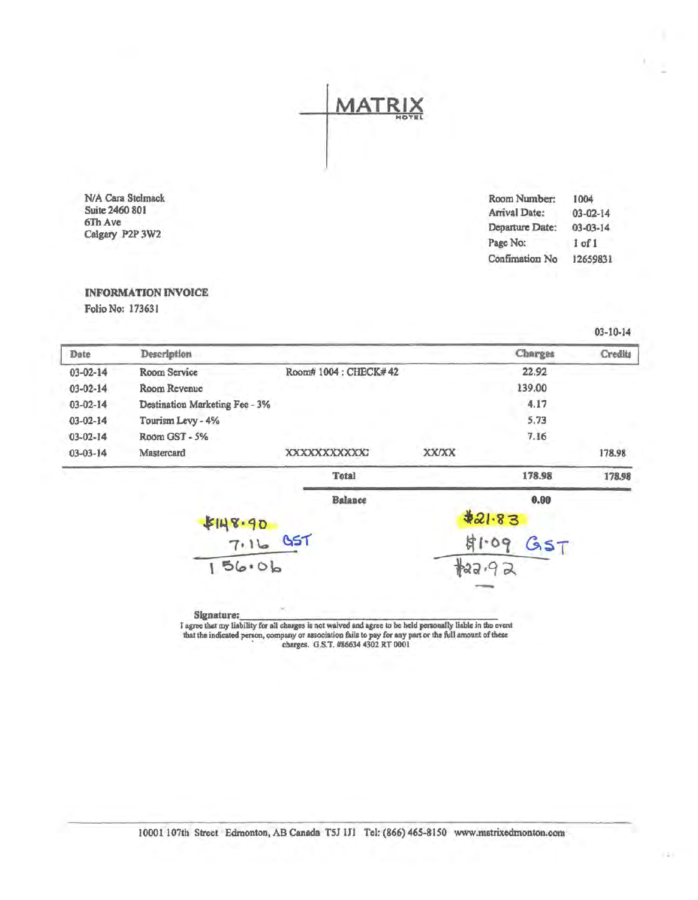**MATR** 

N/A Cara Stelmack Suite 2460 801 6ThAve Calgary P2P 3W2

| Room Number:    | 1004           |
|-----------------|----------------|
| Arrival Date:   | $03 - 02 - 14$ |
| Departure Date: | $03 - 03 - 14$ |
| Page No:        | 1 of 1         |
| Confimation No  | 12659831       |
|                 |                |

 $*22.92$ 

#### INFORMATION INVOICE

Folio No: 17363 l

03-10-14

| Date           | Description                    |                     |              | Charges       | Credits |
|----------------|--------------------------------|---------------------|--------------|---------------|---------|
| $03 - 02 - 14$ | Room Service                   | Room#1004: CHECK#42 |              | 22.92         |         |
| $03 - 02 - 14$ | Room Revenue                   |                     |              | 139.00        |         |
| $03 - 02 - 14$ | Destination Marketing Fee - 3% |                     |              | 4.17          |         |
| $03 - 02 - 14$ | Tourism Levy - 4%              |                     |              | 5.73          |         |
| $03 - 02 - 14$ | Room GST - 5%                  |                     |              | 7.16          |         |
| $03 - 03 - 14$ | Mastercard                     | XXXXXXXXXXX         | <b>XX/XX</b> |               | 178.98  |
|                |                                | <b>Total</b>        |              | 178.98        | 178.98  |
|                |                                | <b>Balance</b>      |              | 0.00          |         |
|                |                                |                     |              | \$21.83       |         |
|                | \$148.90<br>7.16 95T           |                     |              | \$1.09<br>357 |         |

 $-$  se• $-$ 

 $156.06$ 

I agree that my liability for all charges is not waived and agree to be held personally liable in the event that the indicated person, company or association fails to pay for any part or the full amount of these ' charges. G.S.T. #86634 4302 RT 0001